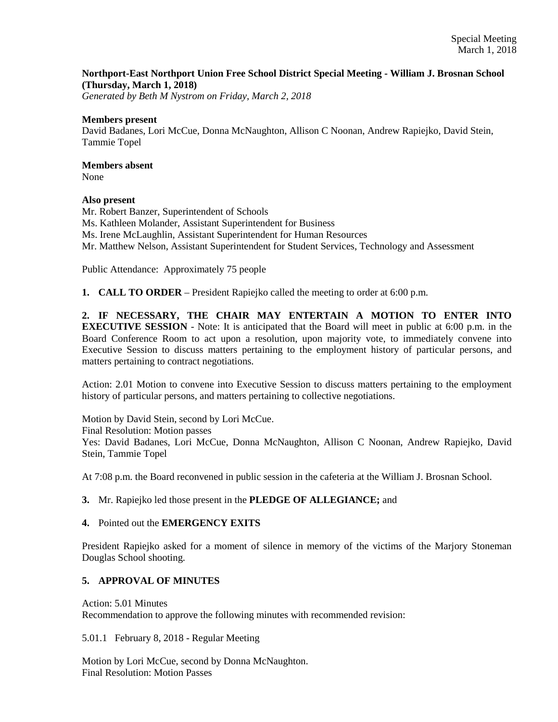## **Northport-East Northport Union Free School District Special Meeting - William J. Brosnan School (Thursday, March 1, 2018)**

*Generated by Beth M Nystrom on Friday, March 2, 2018*

#### **Members present**

David Badanes, Lori McCue, Donna McNaughton, Allison C Noonan, Andrew Rapiejko, David Stein, Tammie Topel

# **Members absent**

None

### **Also present**

Mr. Robert Banzer, Superintendent of Schools Ms. Kathleen Molander, Assistant Superintendent for Business Ms. Irene McLaughlin, Assistant Superintendent for Human Resources Mr. Matthew Nelson, Assistant Superintendent for Student Services, Technology and Assessment

Public Attendance: Approximately 75 people

**1. CALL TO ORDER** – President Rapiejko called the meeting to order at 6:00 p.m.

**2. IF NECESSARY, THE CHAIR MAY ENTERTAIN A MOTION TO ENTER INTO EXECUTIVE SESSION** - Note: It is anticipated that the Board will meet in public at 6:00 p.m. in the Board Conference Room to act upon a resolution, upon majority vote, to immediately convene into Executive Session to discuss matters pertaining to the employment history of particular persons, and matters pertaining to contract negotiations.

Action: 2.01 Motion to convene into Executive Session to discuss matters pertaining to the employment history of particular persons, and matters pertaining to collective negotiations.

Motion by David Stein, second by Lori McCue. Final Resolution: Motion passes Yes: David Badanes, Lori McCue, Donna McNaughton, Allison C Noonan, Andrew Rapiejko, David Stein, Tammie Topel

At 7:08 p.m. the Board reconvened in public session in the cafeteria at the William J. Brosnan School.

### **3.** Mr. Rapiejko led those present in the **PLEDGE OF ALLEGIANCE;** and

### **4.** Pointed out the **EMERGENCY EXITS**

President Rapiejko asked for a moment of silence in memory of the victims of the Marjory Stoneman Douglas School shooting.

# **5. APPROVAL OF MINUTES**

Action: 5.01 Minutes

Recommendation to approve the following minutes with recommended revision:

5.01.1 February 8, 2018 - Regular Meeting

Motion by Lori McCue, second by Donna McNaughton. Final Resolution: Motion Passes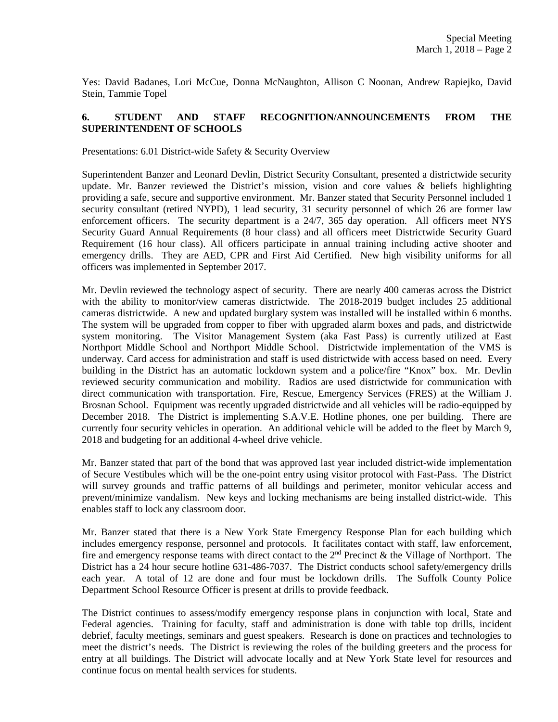Yes: David Badanes, Lori McCue, Donna McNaughton, Allison C Noonan, Andrew Rapiejko, David Stein, Tammie Topel

# **6. STUDENT AND STAFF RECOGNITION/ANNOUNCEMENTS FROM THE SUPERINTENDENT OF SCHOOLS**

Presentations: 6.01 District-wide Safety & Security Overview

Superintendent Banzer and Leonard Devlin, District Security Consultant, presented a districtwide security update. Mr. Banzer reviewed the District's mission, vision and core values  $\&$  beliefs highlighting providing a safe, secure and supportive environment. Mr. Banzer stated that Security Personnel included 1 security consultant (retired NYPD), 1 lead security, 31 security personnel of which 26 are former law enforcement officers. The security department is a 24/7, 365 day operation. All officers meet NYS Security Guard Annual Requirements (8 hour class) and all officers meet Districtwide Security Guard Requirement (16 hour class). All officers participate in annual training including active shooter and emergency drills. They are AED, CPR and First Aid Certified. New high visibility uniforms for all officers was implemented in September 2017.

Mr. Devlin reviewed the technology aspect of security. There are nearly 400 cameras across the District with the ability to monitor/view cameras districtwide. The 2018-2019 budget includes 25 additional cameras districtwide. A new and updated burglary system was installed will be installed within 6 months. The system will be upgraded from copper to fiber with upgraded alarm boxes and pads, and districtwide system monitoring. The Visitor Management System (aka Fast Pass) is currently utilized at East Northport Middle School and Northport Middle School. Districtwide implementation of the VMS is underway. Card access for administration and staff is used districtwide with access based on need. Every building in the District has an automatic lockdown system and a police/fire "Knox" box. Mr. Devlin reviewed security communication and mobility. Radios are used districtwide for communication with direct communication with transportation. Fire, Rescue, Emergency Services (FRES) at the William J. Brosnan School. Equipment was recently upgraded districtwide and all vehicles will be radio-equipped by December 2018. The District is implementing S.A.V.E. Hotline phones, one per building. There are currently four security vehicles in operation. An additional vehicle will be added to the fleet by March 9, 2018 and budgeting for an additional 4-wheel drive vehicle.

Mr. Banzer stated that part of the bond that was approved last year included district-wide implementation of Secure Vestibules which will be the one-point entry using visitor protocol with Fast-Pass. The District will survey grounds and traffic patterns of all buildings and perimeter, monitor vehicular access and prevent/minimize vandalism. New keys and locking mechanisms are being installed district-wide. This enables staff to lock any classroom door.

Mr. Banzer stated that there is a New York State Emergency Response Plan for each building which includes emergency response, personnel and protocols. It facilitates contact with staff, law enforcement, fire and emergency response teams with direct contact to the  $2<sup>nd</sup>$  Precinct & the Village of Northport. The District has a 24 hour secure hotline 631-486-7037. The District conducts school safety/emergency drills each year. A total of 12 are done and four must be lockdown drills. The Suffolk County Police Department School Resource Officer is present at drills to provide feedback.

The District continues to assess/modify emergency response plans in conjunction with local, State and Federal agencies. Training for faculty, staff and administration is done with table top drills, incident debrief, faculty meetings, seminars and guest speakers. Research is done on practices and technologies to meet the district's needs. The District is reviewing the roles of the building greeters and the process for entry at all buildings. The District will advocate locally and at New York State level for resources and continue focus on mental health services for students.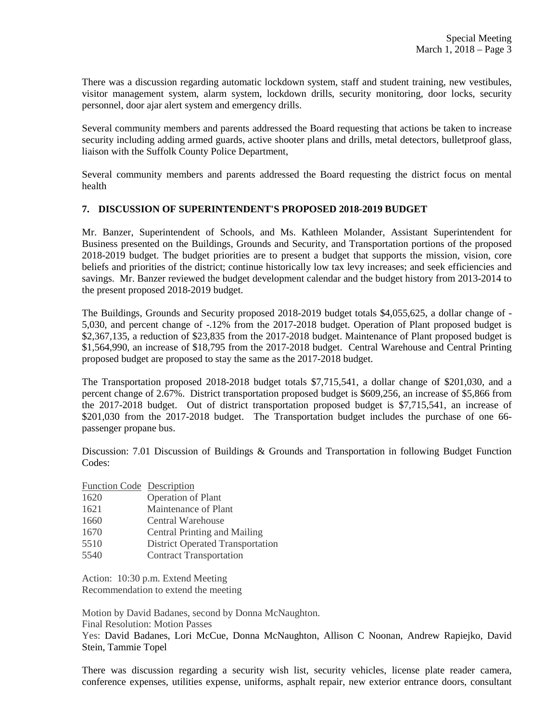There was a discussion regarding automatic lockdown system, staff and student training, new vestibules, visitor management system, alarm system, lockdown drills, security monitoring, door locks, security personnel, door ajar alert system and emergency drills.

Several community members and parents addressed the Board requesting that actions be taken to increase security including adding armed guards, active shooter plans and drills, metal detectors, bulletproof glass, liaison with the Suffolk County Police Department,

Several community members and parents addressed the Board requesting the district focus on mental health

### **7. DISCUSSION OF SUPERINTENDENT'S PROPOSED 2018-2019 BUDGET**

Mr. Banzer, Superintendent of Schools, and Ms. Kathleen Molander, Assistant Superintendent for Business presented on the Buildings, Grounds and Security, and Transportation portions of the proposed 2018-2019 budget. The budget priorities are to present a budget that supports the mission, vision, core beliefs and priorities of the district; continue historically low tax levy increases; and seek efficiencies and savings. Mr. Banzer reviewed the budget development calendar and the budget history from 2013-2014 to the present proposed 2018-2019 budget.

The Buildings, Grounds and Security proposed 2018-2019 budget totals \$4,055,625, a dollar change of - 5,030, and percent change of -.12% from the 2017-2018 budget. Operation of Plant proposed budget is \$2,367,135, a reduction of \$23,835 from the 2017-2018 budget. Maintenance of Plant proposed budget is \$1,564,990, an increase of \$18,795 from the 2017-2018 budget. Central Warehouse and Central Printing proposed budget are proposed to stay the same as the 2017-2018 budget.

The Transportation proposed 2018-2018 budget totals \$7,715,541, a dollar change of \$201,030, and a percent change of 2.67%. District transportation proposed budget is \$609,256, an increase of \$5,866 from the 2017-2018 budget. Out of district transportation proposed budget is \$7,715,541, an increase of \$201,030 from the 2017-2018 budget. The Transportation budget includes the purchase of one 66passenger propane bus.

Discussion: 7.01 Discussion of Buildings & Grounds and Transportation in following Budget Function Codes:

Function Code Description

- 1620 Operation of Plant
- 1621 Maintenance of Plant
- 1660 Central Warehouse
- 1670 Central Printing and Mailing
- 5510 District Operated Transportation
- 5540 Contract Transportation

Action: 10:30 p.m. Extend Meeting Recommendation to extend the meeting

Motion by David Badanes, second by Donna McNaughton.

Final Resolution: Motion Passes

Yes: David Badanes, Lori McCue, Donna McNaughton, Allison C Noonan, Andrew Rapiejko, David Stein, Tammie Topel

There was discussion regarding a security wish list, security vehicles, license plate reader camera, conference expenses, utilities expense, uniforms, asphalt repair, new exterior entrance doors, consultant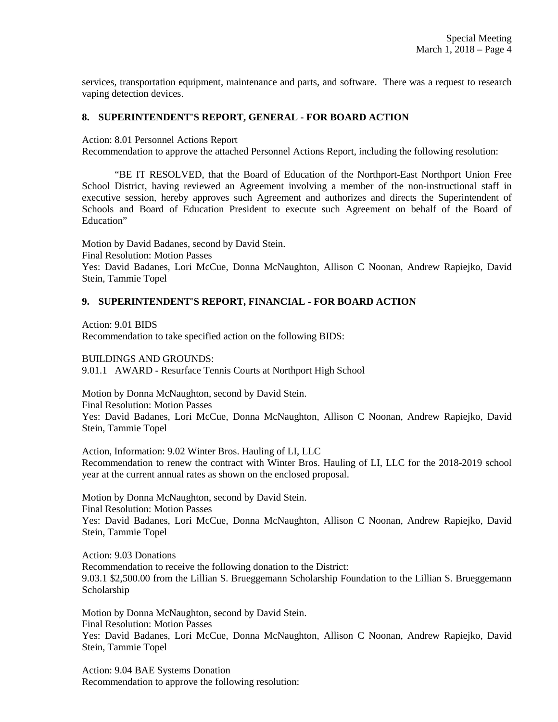services, transportation equipment, maintenance and parts, and software. There was a request to research vaping detection devices.

### **8. SUPERINTENDENT'S REPORT, GENERAL - FOR BOARD ACTION**

Action: 8.01 Personnel Actions Report

Recommendation to approve the attached Personnel Actions Report, including the following resolution:

 "BE IT RESOLVED, that the Board of Education of the Northport-East Northport Union Free School District, having reviewed an Agreement involving a member of the non-instructional staff in executive session, hereby approves such Agreement and authorizes and directs the Superintendent of Schools and Board of Education President to execute such Agreement on behalf of the Board of Education"

Motion by David Badanes, second by David Stein.

Final Resolution: Motion Passes

Yes: David Badanes, Lori McCue, Donna McNaughton, Allison C Noonan, Andrew Rapiejko, David Stein, Tammie Topel

### **9. SUPERINTENDENT'S REPORT, FINANCIAL - FOR BOARD ACTION**

Action: 9.01 BIDS

Recommendation to take specified action on the following BIDS:

BUILDINGS AND GROUNDS:

9.01.1 AWARD - Resurface Tennis Courts at Northport High School

Motion by Donna McNaughton, second by David Stein.

Final Resolution: Motion Passes

Yes: David Badanes, Lori McCue, Donna McNaughton, Allison C Noonan, Andrew Rapiejko, David Stein, Tammie Topel

Action, Information: 9.02 Winter Bros. Hauling of LI, LLC Recommendation to renew the contract with Winter Bros. Hauling of LI, LLC for the 2018-2019 school year at the current annual rates as shown on the enclosed proposal.

Motion by Donna McNaughton, second by David Stein. Final Resolution: Motion Passes Yes: David Badanes, Lori McCue, Donna McNaughton, Allison C Noonan, Andrew Rapiejko, David Stein, Tammie Topel

Action: 9.03 Donations Recommendation to receive the following donation to the District: 9.03.1 \$2,500.00 from the Lillian S. Brueggemann Scholarship Foundation to the Lillian S. Brueggemann Scholarship

Motion by Donna McNaughton, second by David Stein. Final Resolution: Motion Passes Yes: David Badanes, Lori McCue, Donna McNaughton, Allison C Noonan, Andrew Rapiejko, David Stein, Tammie Topel

Action: 9.04 BAE Systems Donation Recommendation to approve the following resolution: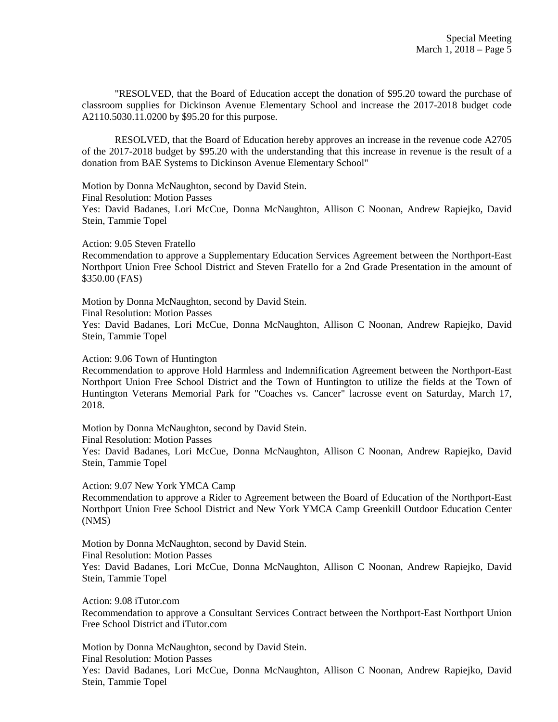"RESOLVED, that the Board of Education accept the donation of \$95.20 toward the purchase of classroom supplies for Dickinson Avenue Elementary School and increase the 2017-2018 budget code A2110.5030.11.0200 by \$95.20 for this purpose.

RESOLVED, that the Board of Education hereby approves an increase in the revenue code A2705 of the 2017-2018 budget by \$95.20 with the understanding that this increase in revenue is the result of a donation from BAE Systems to Dickinson Avenue Elementary School"

Motion by Donna McNaughton, second by David Stein.

Final Resolution: Motion Passes

Yes: David Badanes, Lori McCue, Donna McNaughton, Allison C Noonan, Andrew Rapiejko, David Stein, Tammie Topel

Action: 9.05 Steven Fratello

Recommendation to approve a Supplementary Education Services Agreement between the Northport-East Northport Union Free School District and Steven Fratello for a 2nd Grade Presentation in the amount of \$350.00 (FAS)

Motion by Donna McNaughton, second by David Stein.

Final Resolution: Motion Passes

Yes: David Badanes, Lori McCue, Donna McNaughton, Allison C Noonan, Andrew Rapiejko, David Stein, Tammie Topel

Action: 9.06 Town of Huntington

Recommendation to approve Hold Harmless and Indemnification Agreement between the Northport-East Northport Union Free School District and the Town of Huntington to utilize the fields at the Town of Huntington Veterans Memorial Park for "Coaches vs. Cancer" lacrosse event on Saturday, March 17, 2018.

Motion by Donna McNaughton, second by David Stein.

Final Resolution: Motion Passes

Yes: David Badanes, Lori McCue, Donna McNaughton, Allison C Noonan, Andrew Rapiejko, David Stein, Tammie Topel

Action: 9.07 New York YMCA Camp

Recommendation to approve a Rider to Agreement between the Board of Education of the Northport-East Northport Union Free School District and New York YMCA Camp Greenkill Outdoor Education Center (NMS)

Motion by Donna McNaughton, second by David Stein. Final Resolution: Motion Passes Yes: David Badanes, Lori McCue, Donna McNaughton, Allison C Noonan, Andrew Rapiejko, David Stein, Tammie Topel

Action: 9.08 iTutor.com Recommendation to approve a Consultant Services Contract between the Northport-East Northport Union Free School District and iTutor.com

Motion by Donna McNaughton, second by David Stein. Final Resolution: Motion Passes

Yes: David Badanes, Lori McCue, Donna McNaughton, Allison C Noonan, Andrew Rapiejko, David Stein, Tammie Topel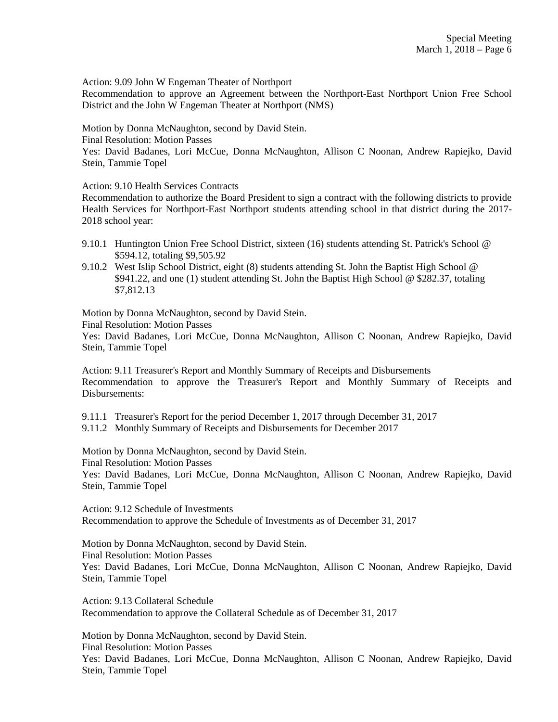Action: 9.09 John W Engeman Theater of Northport

Recommendation to approve an Agreement between the Northport-East Northport Union Free School District and the John W Engeman Theater at Northport (NMS)

Motion by Donna McNaughton, second by David Stein.

Final Resolution: Motion Passes

Yes: David Badanes, Lori McCue, Donna McNaughton, Allison C Noonan, Andrew Rapiejko, David Stein, Tammie Topel

Action: 9.10 Health Services Contracts

Recommendation to authorize the Board President to sign a contract with the following districts to provide Health Services for Northport-East Northport students attending school in that district during the 2017- 2018 school year:

- 9.10.1 Huntington Union Free School District, sixteen (16) students attending St. Patrick's School @ \$594.12, totaling \$9,505.92
- 9.10.2 West Islip School District, eight (8) students attending St. John the Baptist High School @ \$941.22, and one (1) student attending St. John the Baptist High School @ \$282.37, totaling \$7,812.13

Motion by Donna McNaughton, second by David Stein.

Final Resolution: Motion Passes

Yes: David Badanes, Lori McCue, Donna McNaughton, Allison C Noonan, Andrew Rapiejko, David Stein, Tammie Topel

Action: 9.11 Treasurer's Report and Monthly Summary of Receipts and Disbursements Recommendation to approve the Treasurer's Report and Monthly Summary of Receipts and Disbursements:

9.11.1 Treasurer's Report for the period December 1, 2017 through December 31, 2017

9.11.2 Monthly Summary of Receipts and Disbursements for December 2017

Motion by Donna McNaughton, second by David Stein.

Final Resolution: Motion Passes

Yes: David Badanes, Lori McCue, Donna McNaughton, Allison C Noonan, Andrew Rapiejko, David Stein, Tammie Topel

Action: 9.12 Schedule of Investments Recommendation to approve the Schedule of Investments as of December 31, 2017

Motion by Donna McNaughton, second by David Stein. Final Resolution: Motion Passes Yes: David Badanes, Lori McCue, Donna McNaughton, Allison C Noonan, Andrew Rapiejko, David Stein, Tammie Topel

Action: 9.13 Collateral Schedule Recommendation to approve the Collateral Schedule as of December 31, 2017

Motion by Donna McNaughton, second by David Stein. Final Resolution: Motion Passes Yes: David Badanes, Lori McCue, Donna McNaughton, Allison C Noonan, Andrew Rapiejko, David Stein, Tammie Topel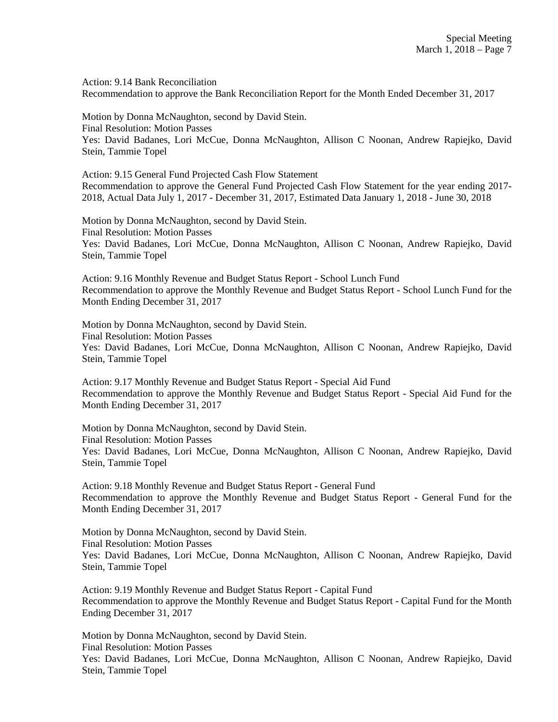Action: 9.14 Bank Reconciliation Recommendation to approve the Bank Reconciliation Report for the Month Ended December 31, 2017

Motion by Donna McNaughton, second by David Stein. Final Resolution: Motion Passes Yes: David Badanes, Lori McCue, Donna McNaughton, Allison C Noonan, Andrew Rapiejko, David Stein, Tammie Topel

Action: 9.15 General Fund Projected Cash Flow Statement Recommendation to approve the General Fund Projected Cash Flow Statement for the year ending 2017- 2018, Actual Data July 1, 2017 - December 31, 2017, Estimated Data January 1, 2018 - June 30, 2018

Motion by Donna McNaughton, second by David Stein. Final Resolution: Motion Passes Yes: David Badanes, Lori McCue, Donna McNaughton, Allison C Noonan, Andrew Rapiejko, David Stein, Tammie Topel

Action: 9.16 Monthly Revenue and Budget Status Report - School Lunch Fund Recommendation to approve the Monthly Revenue and Budget Status Report - School Lunch Fund for the Month Ending December 31, 2017

Motion by Donna McNaughton, second by David Stein. Final Resolution: Motion Passes Yes: David Badanes, Lori McCue, Donna McNaughton, Allison C Noonan, Andrew Rapiejko, David Stein, Tammie Topel

Action: 9.17 Monthly Revenue and Budget Status Report - Special Aid Fund Recommendation to approve the Monthly Revenue and Budget Status Report - Special Aid Fund for the Month Ending December 31, 2017

Motion by Donna McNaughton, second by David Stein. Final Resolution: Motion Passes Yes: David Badanes, Lori McCue, Donna McNaughton, Allison C Noonan, Andrew Rapiejko, David Stein, Tammie Topel

Action: 9.18 Monthly Revenue and Budget Status Report - General Fund Recommendation to approve the Monthly Revenue and Budget Status Report - General Fund for the Month Ending December 31, 2017

Motion by Donna McNaughton, second by David Stein. Final Resolution: Motion Passes Yes: David Badanes, Lori McCue, Donna McNaughton, Allison C Noonan, Andrew Rapiejko, David Stein, Tammie Topel

Action: 9.19 Monthly Revenue and Budget Status Report - Capital Fund Recommendation to approve the Monthly Revenue and Budget Status Report - Capital Fund for the Month Ending December 31, 2017

Motion by Donna McNaughton, second by David Stein. Final Resolution: Motion Passes Yes: David Badanes, Lori McCue, Donna McNaughton, Allison C Noonan, Andrew Rapiejko, David Stein, Tammie Topel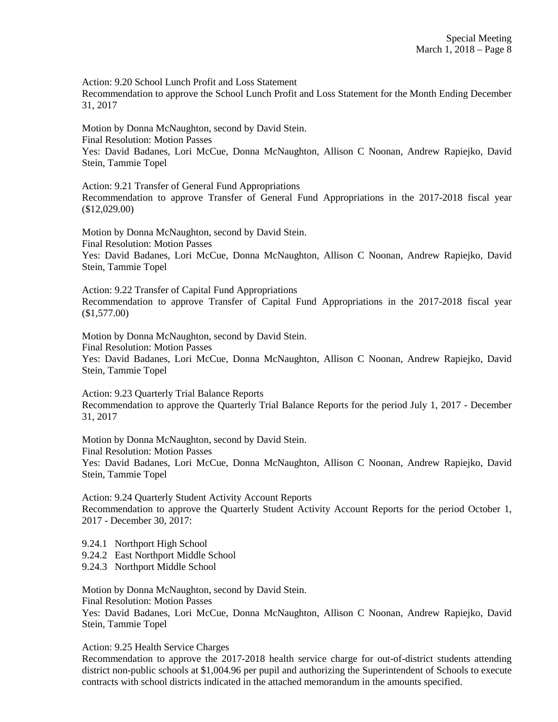Action: 9.20 School Lunch Profit and Loss Statement

Recommendation to approve the School Lunch Profit and Loss Statement for the Month Ending December 31, 2017

Motion by Donna McNaughton, second by David Stein.

Final Resolution: Motion Passes

Yes: David Badanes, Lori McCue, Donna McNaughton, Allison C Noonan, Andrew Rapiejko, David Stein, Tammie Topel

Action: 9.21 Transfer of General Fund Appropriations Recommendation to approve Transfer of General Fund Appropriations in the 2017-2018 fiscal year (\$12,029.00)

Motion by Donna McNaughton, second by David Stein. Final Resolution: Motion Passes Yes: David Badanes, Lori McCue, Donna McNaughton, Allison C Noonan, Andrew Rapiejko, David Stein, Tammie Topel

Action: 9.22 Transfer of Capital Fund Appropriations Recommendation to approve Transfer of Capital Fund Appropriations in the 2017-2018 fiscal year (\$1,577.00)

Motion by Donna McNaughton, second by David Stein.

Final Resolution: Motion Passes

Yes: David Badanes, Lori McCue, Donna McNaughton, Allison C Noonan, Andrew Rapiejko, David Stein, Tammie Topel

Action: 9.23 Quarterly Trial Balance Reports

Recommendation to approve the Quarterly Trial Balance Reports for the period July 1, 2017 - December 31, 2017

Motion by Donna McNaughton, second by David Stein.

Final Resolution: Motion Passes

Yes: David Badanes, Lori McCue, Donna McNaughton, Allison C Noonan, Andrew Rapiejko, David Stein, Tammie Topel

Action: 9.24 Quarterly Student Activity Account Reports Recommendation to approve the Quarterly Student Activity Account Reports for the period October 1, 2017 - December 30, 2017:

9.24.1 Northport High School

9.24.2 East Northport Middle School

9.24.3 Northport Middle School

Motion by Donna McNaughton, second by David Stein.

Final Resolution: Motion Passes

Yes: David Badanes, Lori McCue, Donna McNaughton, Allison C Noonan, Andrew Rapiejko, David Stein, Tammie Topel

Action: 9.25 Health Service Charges

Recommendation to approve the 2017-2018 health service charge for out-of-district students attending district non-public schools at \$1,004.96 per pupil and authorizing the Superintendent of Schools to execute contracts with school districts indicated in the attached memorandum in the amounts specified.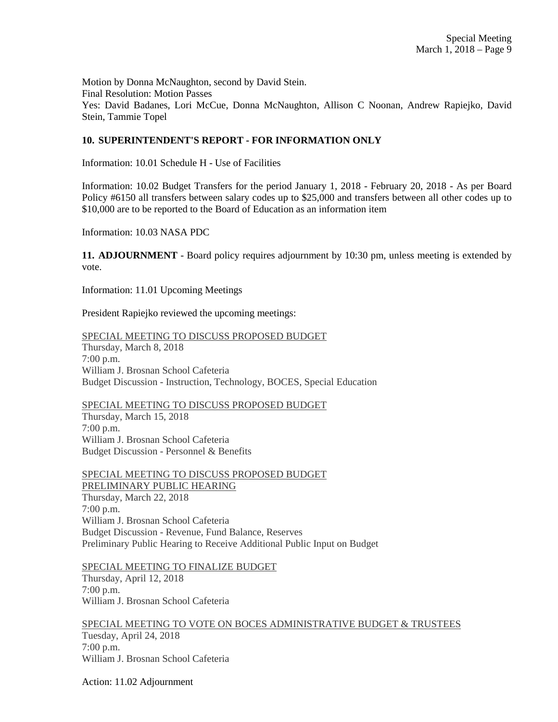Motion by Donna McNaughton, second by David Stein. Final Resolution: Motion Passes Yes: David Badanes, Lori McCue, Donna McNaughton, Allison C Noonan, Andrew Rapiejko, David Stein, Tammie Topel

# **10. SUPERINTENDENT'S REPORT - FOR INFORMATION ONLY**

Information: 10.01 Schedule H - Use of Facilities

Information: 10.02 Budget Transfers for the period January 1, 2018 - February 20, 2018 - As per Board Policy #6150 all transfers between salary codes up to \$25,000 and transfers between all other codes up to \$10,000 are to be reported to the Board of Education as an information item

Information: 10.03 NASA PDC

**11. ADJOURNMENT** - Board policy requires adjournment by 10:30 pm, unless meeting is extended by vote.

Information: 11.01 Upcoming Meetings

President Rapiejko reviewed the upcoming meetings:

SPECIAL MEETING TO DISCUSS PROPOSED BUDGET Thursday, March 8, 2018 7:00 p.m. William J. Brosnan School Cafeteria Budget Discussion - Instruction, Technology, BOCES, Special Education

SPECIAL MEETING TO DISCUSS PROPOSED BUDGET

Thursday, March 15, 2018 7:00 p.m. William J. Brosnan School Cafeteria Budget Discussion - Personnel & Benefits

SPECIAL MEETING TO DISCUSS PROPOSED BUDGET PRELIMINARY PUBLIC HEARING Thursday, March 22, 2018 7:00 p.m. William J. Brosnan School Cafeteria Budget Discussion - Revenue, Fund Balance, Reserves Preliminary Public Hearing to Receive Additional Public Input on Budget

SPECIAL MEETING TO FINALIZE BUDGET

Thursday, April 12, 2018 7:00 p.m. William J. Brosnan School Cafeteria

SPECIAL MEETING TO VOTE ON BOCES ADMINISTRATIVE BUDGET & TRUSTEES Tuesday, April 24, 2018 7:00 p.m. William J. Brosnan School Cafeteria

Action: 11.02 Adjournment